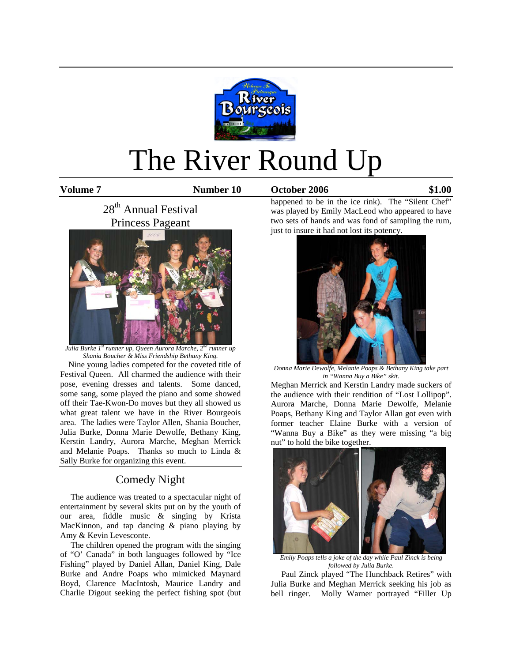

# The River Round Up

**Volume 7 Number 10 October 2006 \$1.00**

28<sup>th</sup> Annual Festival Princess Pageant



*Julia Burke 1st runner up, Queen Aurora Marche, 2nd runner up Shania Boucher & Miss Friendship Bethany King.* 

 Nine young ladies competed for the coveted title of Festival Queen. All charmed the audience with their pose, evening dresses and talents. Some danced, some sang, some played the piano and some showed off their Tae-Kwon-Do moves but they all showed us what great talent we have in the River Bourgeois area. The ladies were Taylor Allen, Shania Boucher, Julia Burke, Donna Marie Dewolfe, Bethany King, Kerstin Landry, Aurora Marche, Meghan Merrick and Melanie Poaps*.* Thanks so much to Linda & Sally Burke for organizing this event.

# Comedy Night

 The audience was treated to a spectacular night of entertainment by several skits put on by the youth of our area, fiddle music & singing by Krista MacKinnon, and tap dancing & piano playing by Amy & Kevin Levesconte.

 The children opened the program with the singing of "O' Canada" in both languages followed by "Ice Fishing" played by Daniel Allan, Daniel King, Dale Burke and Andre Poaps who mimicked Maynard Boyd, Clarence MacIntosh, Maurice Landry and Charlie Digout seeking the perfect fishing spot (but

happened to be in the ice rink). The "Silent Chef" was played by Emily MacLeod who appeared to have two sets of hands and was fond of sampling the rum, just to insure it had not lost its potency.



*Donna Marie Dewolfe, Melanie Poaps & Bethany King take part in "Wanna Buy a Bike" skit*.

Meghan Merrick and Kerstin Landry made suckers of the audience with their rendition of "Lost Lollipop". Aurora Marche, Donna Marie Dewolfe, Melanie Poaps, Bethany King and Taylor Allan got even with former teacher Elaine Burke with a version of "Wanna Buy a Bike" as they were missing "a big nut" to hold the bike together.



*Emily Poaps tells a joke of the day while Paul Zinck is being followed by Julia Burke*.

 Paul Zinck played "The Hunchback Retires" with Julia Burke and Meghan Merrick seeking his job as bell ringer. Molly Warner portrayed "Filler Up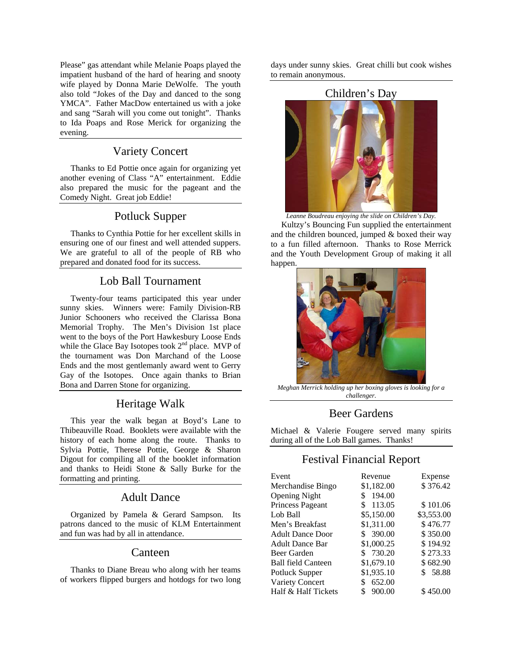Please" gas attendant while Melanie Poaps played the impatient husband of the hard of hearing and snooty wife played by Donna Marie DeWolfe. The youth also told "Jokes of the Day and danced to the song YMCA". Father MacDow entertained us with a joke and sang "Sarah will you come out tonight". Thanks to Ida Poaps and Rose Merick for organizing the evening.

### Variety Concert

 Thanks to Ed Pottie once again for organizing yet another evening of Class "A" entertainment. Eddie also prepared the music for the pageant and the Comedy Night. Great job Eddie!

#### Potluck Supper

 Thanks to Cynthia Pottie for her excellent skills in ensuring one of our finest and well attended suppers. We are grateful to all of the people of RB who prepared and donated food for its success.

#### Lob Ball Tournament

 Twenty-four teams participated this year under sunny skies. Winners were: Family Division-RB Junior Schooners who received the Clarissa Bona Memorial Trophy. The Men's Division 1st place went to the boys of the Port Hawkesbury Loose Ends while the Glace Bay Isotopes took  $2<sup>nd</sup>$  place. MVP of the tournament was Don Marchand of the Loose Ends and the most gentlemanly award went to Gerry Gay of the Isotopes. Once again thanks to Brian Bona and Darren Stone for organizing.

# Heritage Walk

 This year the walk began at Boyd's Lane to Thibeauville Road. Booklets were available with the history of each home along the route. Thanks to Sylvia Pottie, Therese Pottie, George & Sharon Digout for compiling all of the booklet information and thanks to Heidi Stone & Sally Burke for the formatting and printing.

#### Adult Dance

 Organized by Pamela & Gerard Sampson. Its patrons danced to the music of KLM Entertainment and fun was had by all in attendance.

#### Canteen

 Thanks to Diane Breau who along with her teams of workers flipped burgers and hotdogs for two long

days under sunny skies. Great chilli but cook wishes to remain anonymous.

#### Children's Day



*Leanne Boudreau enjoying the slide on Children's Day.*

 Kultzy's Bouncing Fun supplied the entertainment and the children bounced, jumped & boxed their way to a fun filled afternoon. Thanks to Rose Merrick and the Youth Development Group of making it all happen.



*Meghan Merrick holding up her boxing gloves is looking for a challenger.*

#### Beer Gardens

Michael & Valerie Fougere served many spirits during all of the Lob Ball games. Thanks!

# Festival Financial Report

| Event                     | Revenue      | Expense    |
|---------------------------|--------------|------------|
| Merchandise Bingo         | \$1,182.00   | \$376.42   |
| <b>Opening Night</b>      | 194.00<br>S  |            |
| Princess Pageant          | 113.05<br>\$ | \$101.06   |
| Lob Ball                  | \$5,150.00   | \$3,553.00 |
| Men's Breakfast           | \$1,311.00   | \$476.77   |
| <b>Adult Dance Door</b>   | \$390.00     | \$350.00   |
| <b>Adult Dance Bar</b>    | \$1,000.25   | \$194.92   |
| Beer Garden               | 730.20<br>\$ | \$273.33   |
| <b>Ball field Canteen</b> | \$1,679.10   | \$682.90   |
| Potluck Supper            | \$1,935.10   | \$58.88    |
| Variety Concert           | 652.00       |            |
| Half & Half Tickets       | 900.00       | \$450.00   |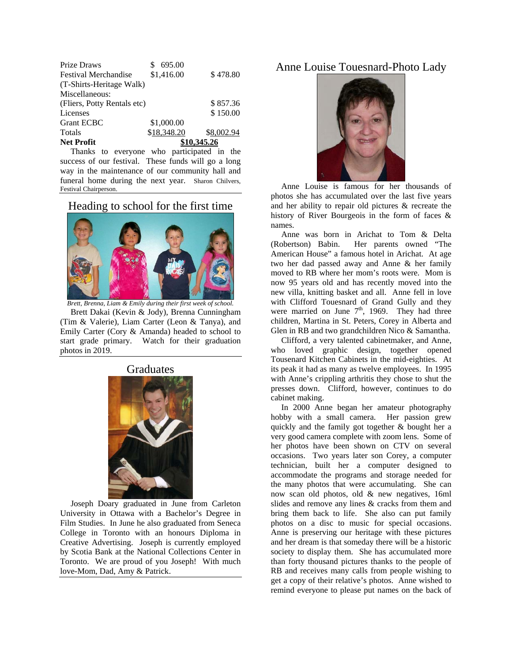| <b>Net Profit</b>           | \$10,345.26 |            |
|-----------------------------|-------------|------------|
| <b>Totals</b>               | \$18,348.20 | \$8,002.94 |
| <b>Grant ECBC</b>           | \$1,000.00  |            |
| Licenses                    |             | \$150.00   |
| (Fliers, Potty Rentals etc) |             | \$857.36   |
| Miscellaneous:              |             |            |
| (T-Shirts-Heritage Walk)    |             |            |
| <b>Festival Merchandise</b> | \$1,416.00  | \$478.80   |
| Prize Draws                 | 695.00      |            |

 Thanks to everyone who participated in the success of our festival. These funds will go a long way in the maintenance of our community hall and funeral home during the next year. Sharon Chilvers, Festival Chairperson.

Heading to school for the first time



*Brett, Brenna, Liam & Emily during their first week of school.*  Brett Dakai (Kevin & Jody), Brenna Cunningham (Tim & Valerie), Liam Carter (Leon & Tanya), and Emily Carter (Cory & Amanda) headed to school to start grade primary. Watch for their graduation

#### Graduates

photos in 2019.



 Joseph Doary graduated in June from Carleton University in Ottawa with a Bachelor's Degree in Film Studies. In June he also graduated from Seneca College in Toronto with an honours Diploma in Creative Advertising. Joseph is currently employed by Scotia Bank at the National Collections Center in Toronto. We are proud of you Joseph! With much love-Mom, Dad, Amy & Patrick.

Anne Louise Touesnard-Photo Lady



 Anne Louise is famous for her thousands of photos she has accumulated over the last five years and her ability to repair old pictures & recreate the history of River Bourgeois in the form of faces & names.

 Anne was born in Arichat to Tom & Delta (Robertson) Babin. Her parents owned "The American House" a famous hotel in Arichat. At age two her dad passed away and Anne & her family moved to RB where her mom's roots were. Mom is now 95 years old and has recently moved into the new villa, knitting basket and all. Anne fell in love with Clifford Touesnard of Grand Gully and they were married on June  $7<sup>th</sup>$ , 1969. They had three children, Martina in St. Peters, Corey in Alberta and Glen in RB and two grandchildren Nico & Samantha.

 Clifford, a very talented cabinetmaker, and Anne, who loved graphic design, together opened Tousenard Kitchen Cabinets in the mid-eighties. At its peak it had as many as twelve employees. In 1995 with Anne's crippling arthritis they chose to shut the presses down. Clifford, however, continues to do cabinet making.

 In 2000 Anne began her amateur photography hobby with a small camera. Her passion grew quickly and the family got together & bought her a very good camera complete with zoom lens. Some of her photos have been shown on CTV on several occasions. Two years later son Corey, a computer technician, built her a computer designed to accommodate the programs and storage needed for the many photos that were accumulating. She can now scan old photos, old & new negatives, 16ml slides and remove any lines & cracks from them and bring them back to life. She also can put family photos on a disc to music for special occasions. Anne is preserving our heritage with these pictures and her dream is that someday there will be a historic society to display them. She has accumulated more than forty thousand pictures thanks to the people of RB and receives many calls from people wishing to get a copy of their relative's photos. Anne wished to remind everyone to please put names on the back of